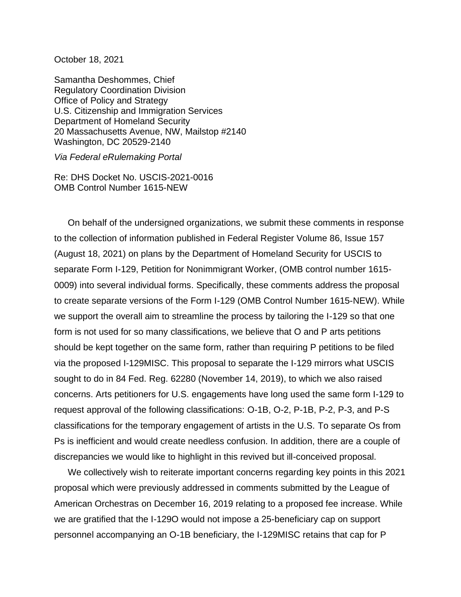October 18, 2021

Samantha Deshommes, Chief Regulatory Coordination Division Office of Policy and Strategy U.S. Citizenship and Immigration Services Department of Homeland Security 20 Massachusetts Avenue, NW, Mailstop #2140 Washington, DC 20529-2140

*Via Federal eRulemaking Portal*

Re: DHS Docket No. USCIS-2021-0016 OMB Control Number 1615-NEW

On behalf of the undersigned organizations, we submit these comments in response to the collection of information published in Federal Register Volume 86, Issue 157 (August 18, 2021) on plans by the Department of Homeland Security for USCIS to separate Form I-129, Petition for Nonimmigrant Worker, (OMB control number 1615- 0009) into several individual forms. Specifically, these comments address the proposal to create separate versions of the Form I-129 (OMB Control Number 1615-NEW). While we support the overall aim to streamline the process by tailoring the I-129 so that one form is not used for so many classifications, we believe that O and P arts petitions should be kept together on the same form, rather than requiring P petitions to be filed via the proposed I-129MISC. This proposal to separate the I-129 mirrors what USCIS sought to do in 84 Fed. Reg. 62280 (November 14, 2019), to which we also raised concerns. Arts petitioners for U.S. engagements have long used the same form I-129 to request approval of the following classifications: O-1B, O-2, P-1B, P-2, P-3, and P-S classifications for the temporary engagement of artists in the U.S. To separate Os from Ps is inefficient and would create needless confusion. In addition, there are a couple of discrepancies we would like to highlight in this revived but ill-conceived proposal.

We collectively wish to reiterate important concerns regarding key points in this 2021 proposal which were previously addressed in comments submitted by the League of American Orchestras on December 16, 2019 relating to a proposed fee increase. While we are gratified that the I-129O would not impose a 25-beneficiary cap on support personnel accompanying an O-1B beneficiary, the I-129MISC retains that cap for P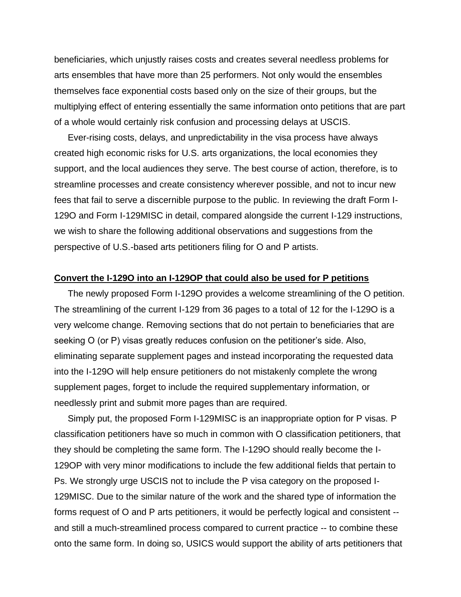beneficiaries, which unjustly raises costs and creates several needless problems for arts ensembles that have more than 25 performers. Not only would the ensembles themselves face exponential costs based only on the size of their groups, but the multiplying effect of entering essentially the same information onto petitions that are part of a whole would certainly risk confusion and processing delays at USCIS.

Ever-rising costs, delays, and unpredictability in the visa process have always created high economic risks for U.S. arts organizations, the local economies they support, and the local audiences they serve. The best course of action, therefore, is to streamline processes and create consistency wherever possible, and not to incur new fees that fail to serve a discernible purpose to the public. In reviewing the draft Form I-129O and Form I-129MISC in detail, compared alongside the current I-129 instructions, we wish to share the following additional observations and suggestions from the perspective of U.S.-based arts petitioners filing for O and P artists.

## **Convert the I-129O into an I-129OP that could also be used for P petitions**

The newly proposed Form I-129O provides a welcome streamlining of the O petition. The streamlining of the current I-129 from 36 pages to a total of 12 for the I-129O is a very welcome change. Removing sections that do not pertain to beneficiaries that are seeking O (or P) visas greatly reduces confusion on the petitioner's side. Also, eliminating separate supplement pages and instead incorporating the requested data into the I-129O will help ensure petitioners do not mistakenly complete the wrong supplement pages, forget to include the required supplementary information, or needlessly print and submit more pages than are required.

Simply put, the proposed Form I-129MISC is an inappropriate option for P visas. P classification petitioners have so much in common with O classification petitioners, that they should be completing the same form. The I-129O should really become the I-129OP with very minor modifications to include the few additional fields that pertain to Ps. We strongly urge USCIS not to include the P visa category on the proposed I-129MISC. Due to the similar nature of the work and the shared type of information the forms request of O and P arts petitioners, it would be perfectly logical and consistent - and still a much-streamlined process compared to current practice -- to combine these onto the same form. In doing so, USICS would support the ability of arts petitioners that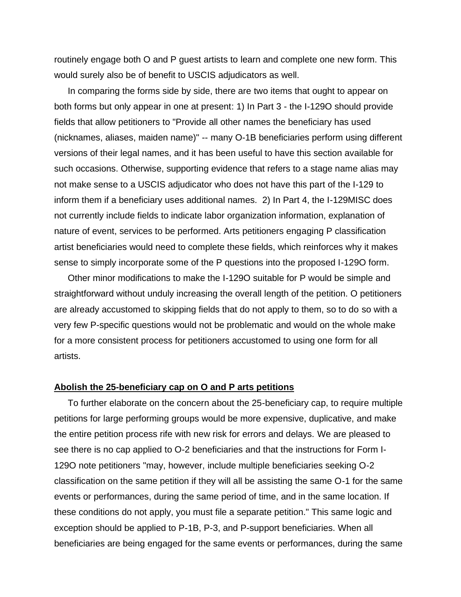routinely engage both O and P guest artists to learn and complete one new form. This would surely also be of benefit to USCIS adjudicators as well.

In comparing the forms side by side, there are two items that ought to appear on both forms but only appear in one at present: 1) In Part 3 - the I-129O should provide fields that allow petitioners to "Provide all other names the beneficiary has used (nicknames, aliases, maiden name)" -- many O-1B beneficiaries perform using different versions of their legal names, and it has been useful to have this section available for such occasions. Otherwise, supporting evidence that refers to a stage name alias may not make sense to a USCIS adjudicator who does not have this part of the I-129 to inform them if a beneficiary uses additional names. 2) In Part 4, the I-129MISC does not currently include fields to indicate labor organization information, explanation of nature of event, services to be performed. Arts petitioners engaging P classification artist beneficiaries would need to complete these fields, which reinforces why it makes sense to simply incorporate some of the P questions into the proposed I-129O form.

Other minor modifications to make the I-129O suitable for P would be simple and straightforward without unduly increasing the overall length of the petition. O petitioners are already accustomed to skipping fields that do not apply to them, so to do so with a very few P-specific questions would not be problematic and would on the whole make for a more consistent process for petitioners accustomed to using one form for all artists.

## **Abolish the 25-beneficiary cap on O and P arts petitions**

To further elaborate on the concern about the 25-beneficiary cap, to require multiple petitions for large performing groups would be more expensive, duplicative, and make the entire petition process rife with new risk for errors and delays. We are pleased to see there is no cap applied to O-2 beneficiaries and that the instructions for Form I-129O note petitioners "may, however, include multiple beneficiaries seeking O-2 classification on the same petition if they will all be assisting the same O-1 for the same events or performances, during the same period of time, and in the same location. If these conditions do not apply, you must file a separate petition." This same logic and exception should be applied to P-1B, P-3, and P-support beneficiaries. When all beneficiaries are being engaged for the same events or performances, during the same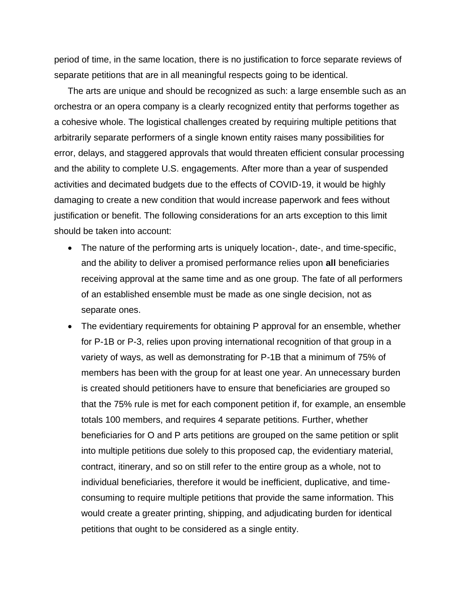period of time, in the same location, there is no justification to force separate reviews of separate petitions that are in all meaningful respects going to be identical.

The arts are unique and should be recognized as such: a large ensemble such as an orchestra or an opera company is a clearly recognized entity that performs together as a cohesive whole. The logistical challenges created by requiring multiple petitions that arbitrarily separate performers of a single known entity raises many possibilities for error, delays, and staggered approvals that would threaten efficient consular processing and the ability to complete U.S. engagements. After more than a year of suspended activities and decimated budgets due to the effects of COVID-19, it would be highly damaging to create a new condition that would increase paperwork and fees without justification or benefit. The following considerations for an arts exception to this limit should be taken into account:

- The nature of the performing arts is uniquely location-, date-, and time-specific, and the ability to deliver a promised performance relies upon **all** beneficiaries receiving approval at the same time and as one group. The fate of all performers of an established ensemble must be made as one single decision, not as separate ones.
- The evidentiary requirements for obtaining P approval for an ensemble, whether for P-1B or P-3, relies upon proving international recognition of that group in a variety of ways, as well as demonstrating for P-1B that a minimum of 75% of members has been with the group for at least one year. An unnecessary burden is created should petitioners have to ensure that beneficiaries are grouped so that the 75% rule is met for each component petition if, for example, an ensemble totals 100 members, and requires 4 separate petitions. Further, whether beneficiaries for O and P arts petitions are grouped on the same petition or split into multiple petitions due solely to this proposed cap, the evidentiary material, contract, itinerary, and so on still refer to the entire group as a whole, not to individual beneficiaries, therefore it would be inefficient, duplicative, and timeconsuming to require multiple petitions that provide the same information. This would create a greater printing, shipping, and adjudicating burden for identical petitions that ought to be considered as a single entity.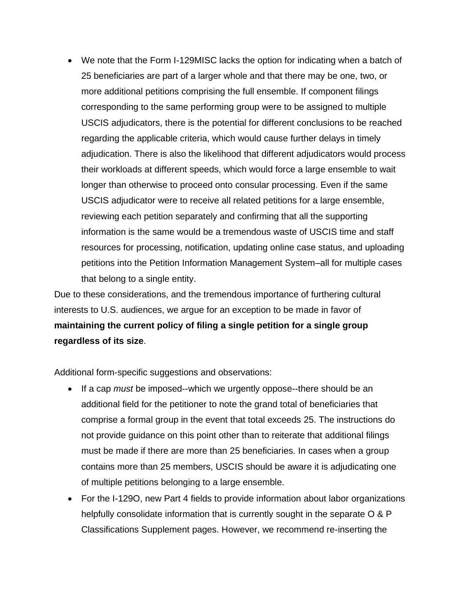• We note that the Form I-129MISC lacks the option for indicating when a batch of 25 beneficiaries are part of a larger whole and that there may be one, two, or more additional petitions comprising the full ensemble. If component filings corresponding to the same performing group were to be assigned to multiple USCIS adjudicators, there is the potential for different conclusions to be reached regarding the applicable criteria, which would cause further delays in timely adjudication. There is also the likelihood that different adjudicators would process their workloads at different speeds, which would force a large ensemble to wait longer than otherwise to proceed onto consular processing. Even if the same USCIS adjudicator were to receive all related petitions for a large ensemble, reviewing each petition separately and confirming that all the supporting information is the same would be a tremendous waste of USCIS time and staff resources for processing, notification, updating online case status, and uploading petitions into the Petition Information Management System–all for multiple cases that belong to a single entity.

Due to these considerations, and the tremendous importance of furthering cultural interests to U.S. audiences, we argue for an exception to be made in favor of **maintaining the current policy of filing a single petition for a single group regardless of its size**.

Additional form-specific suggestions and observations:

- If a cap *must* be imposed--which we urgently oppose--there should be an additional field for the petitioner to note the grand total of beneficiaries that comprise a formal group in the event that total exceeds 25. The instructions do not provide guidance on this point other than to reiterate that additional filings must be made if there are more than 25 beneficiaries. In cases when a group contains more than 25 members, USCIS should be aware it is adjudicating one of multiple petitions belonging to a large ensemble.
- For the I-129O, new Part 4 fields to provide information about labor organizations helpfully consolidate information that is currently sought in the separate O & P Classifications Supplement pages. However, we recommend re-inserting the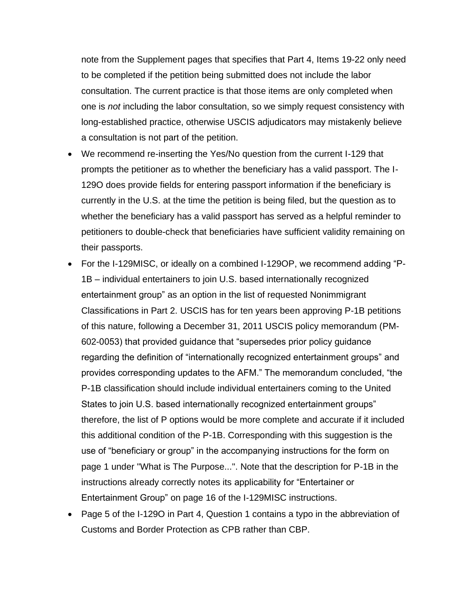note from the Supplement pages that specifies that Part 4, Items 19-22 only need to be completed if the petition being submitted does not include the labor consultation. The current practice is that those items are only completed when one is *not* including the labor consultation, so we simply request consistency with long-established practice, otherwise USCIS adjudicators may mistakenly believe a consultation is not part of the petition.

- We recommend re-inserting the Yes/No question from the current I-129 that prompts the petitioner as to whether the beneficiary has a valid passport. The I-129O does provide fields for entering passport information if the beneficiary is currently in the U.S. at the time the petition is being filed, but the question as to whether the beneficiary has a valid passport has served as a helpful reminder to petitioners to double-check that beneficiaries have sufficient validity remaining on their passports.
- For the I-129MISC, or ideally on a combined I-129OP, we recommend adding "P-1B – individual entertainers to join U.S. based internationally recognized entertainment group" as an option in the list of requested Nonimmigrant Classifications in Part 2. USCIS has for ten years been approving P-1B petitions of this nature, following a December 31, 2011 USCIS policy memorandum (PM-602-0053) that provided guidance that "supersedes prior policy guidance regarding the definition of "internationally recognized entertainment groups" and provides corresponding updates to the AFM." The memorandum concluded, "the P-1B classification should include individual entertainers coming to the United States to join U.S. based internationally recognized entertainment groups" therefore, the list of P options would be more complete and accurate if it included this additional condition of the P-1B. Corresponding with this suggestion is the use of "beneficiary or group" in the accompanying instructions for the form on page 1 under "What is The Purpose...". Note that the description for P-1B in the instructions already correctly notes its applicability for "Entertainer or Entertainment Group" on page 16 of the I-129MISC instructions.
- Page 5 of the I-129O in Part 4, Question 1 contains a typo in the abbreviation of Customs and Border Protection as CPB rather than CBP.